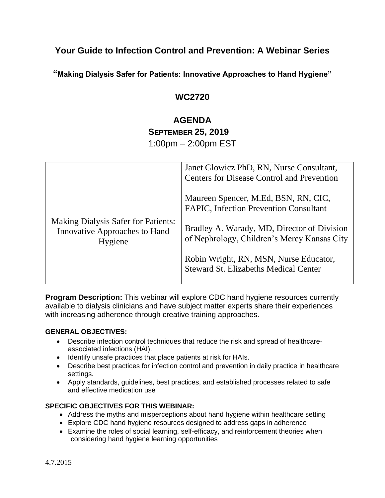# **Your Guide to Infection Control and Prevention: A Webinar Series**

**"Making Dialysis Safer for Patients: Innovative Approaches to Hand Hygiene"** 

## **WC2720**

# **AGENDA SEPTEMBER 25, 2019**

1:00pm – 2:00pm EST

|                                                                                               | Janet Glowicz PhD, RN, Nurse Consultant,<br><b>Centers for Disease Control and Prevention</b> |
|-----------------------------------------------------------------------------------------------|-----------------------------------------------------------------------------------------------|
| <b>Making Dialysis Safer for Patients:</b><br><b>Innovative Approaches to Hand</b><br>Hygiene | Maureen Spencer, M.Ed, BSN, RN, CIC,<br><b>FAPIC, Infection Prevention Consultant</b>         |
|                                                                                               | Bradley A. Warady, MD, Director of Division<br>of Nephrology, Children's Mercy Kansas City    |
|                                                                                               | Robin Wright, RN, MSN, Nurse Educator,<br><b>Steward St. Elizabeths Medical Center</b>        |

**Program Description:** This webinar will explore CDC hand hygiene resources currently available to dialysis clinicians and have subject matter experts share their experiences with increasing adherence through creative training approaches.

#### **GENERAL OBJECTIVES:**

- Describe infection control techniques that reduce the risk and spread of healthcareassociated infections (HAI).
- Identify unsafe practices that place patients at risk for HAIs.
- Describe best practices for infection control and prevention in daily practice in healthcare settings.
- Apply standards, guidelines, best practices, and established processes related to safe and effective medication use

#### **SPECIFIC OBJECTIVES FOR THIS WEBINAR:**

- Address the myths and misperceptions about hand hygiene within healthcare setting
- Explore CDC hand hygiene resources designed to address gaps in adherence
- Examine the roles of social learning, self-efficacy, and reinforcement theories when considering hand hygiene learning opportunities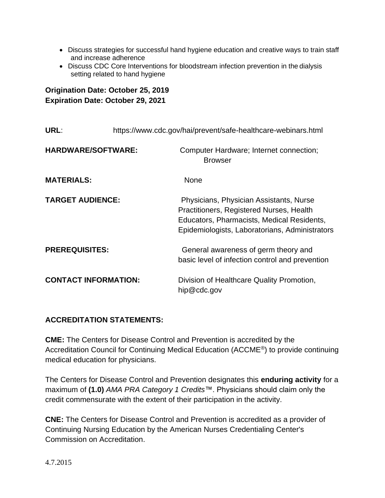- Discuss strategies for successful hand hygiene education and creative ways to train staff and increase adherence
- Discuss CDC Core Interventions for bloodstream infection prevention in the dialysis setting related to hand hygiene

## **Origination Date: October 25, 2019 Expiration Date: October 29, 2021**

| URL:                        | https://www.cdc.gov/hai/prevent/safe-healthcare-webinars.html |                                                                                                                                                                                     |
|-----------------------------|---------------------------------------------------------------|-------------------------------------------------------------------------------------------------------------------------------------------------------------------------------------|
| <b>HARDWARE/SOFTWARE:</b>   |                                                               | Computer Hardware; Internet connection;<br><b>Browser</b>                                                                                                                           |
| <b>MATERIALS:</b>           |                                                               | <b>None</b>                                                                                                                                                                         |
| <b>TARGET AUDIENCE:</b>     |                                                               | Physicians, Physician Assistants, Nurse<br>Practitioners, Registered Nurses, Health<br>Educators, Pharmacists, Medical Residents,<br>Epidemiologists, Laboratorians, Administrators |
| <b>PREREQUISITES:</b>       |                                                               | General awareness of germ theory and<br>basic level of infection control and prevention                                                                                             |
| <b>CONTACT INFORMATION:</b> |                                                               | Division of Healthcare Quality Promotion,<br>hip@cdc.gov                                                                                                                            |

## **ACCREDITATION STATEMENTS:**

**CME:** The Centers for Disease Control and Prevention is accredited by the Accreditation Council for Continuing Medical Education (ACCME®) to provide continuing medical education for physicians.

The Centers for Disease Control and Prevention designates this **enduring activity** for a maximum of **(1.0)** *AMA PRA Category 1 Credits*™. Physicians should claim only the credit commensurate with the extent of their participation in the activity.

**CNE:** The Centers for Disease Control and Prevention is accredited as a provider of Continuing Nursing Education by the American Nurses Credentialing Center's Commission on Accreditation.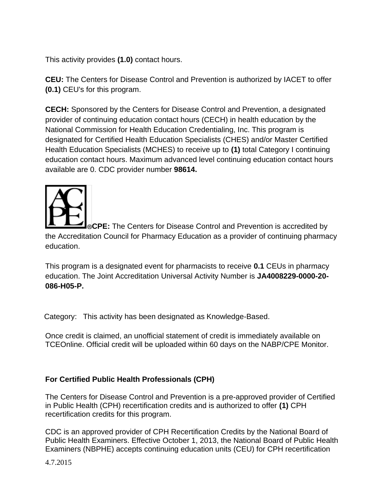This activity provides **(1.0)** contact hours.

**CEU:** The Centers for Disease Control and Prevention is authorized by IACET to offer **(0.1)** CEU's for this program.

**CECH:** Sponsored by the Centers for Disease Control and Prevention, a designated provider of continuing education contact hours (CECH) in health education by the National Commission for Health Education Credentialing, Inc. This program is designated for Certified Health Education Specialists (CHES) and/or Master Certified Health Education Specialists (MCHES) to receive up to **(1)** total Category I continuing education contact hours. Maximum advanced level continuing education contact hours available are 0. CDC provider number **98614.**



**CPE:** The Centers for Disease Control and Prevention is accredited by the Accreditation Council for Pharmacy Education as a provider of continuing pharmacy education.

This program is a designated event for pharmacists to receive **0.1** CEUs in pharmacy education. The Joint Accreditation Universal Activity Number is **JA4008229-0000-20- 086-H05-P.**

Category: This activity has been designated as Knowledge-Based.

Once credit is claimed, an unofficial statement of credit is immediately available on TCEOnline. Official credit will be uploaded within 60 days on the NABP/CPE Monitor.

## **For Certified Public Health Professionals (CPH)**

The Centers for Disease Control and Prevention is a pre-approved provider of Certified in Public Health (CPH) recertification credits and is authorized to offer **(1)** CPH recertification credits for this program.

CDC is an approved provider of CPH Recertification Credits by the National Board of Public Health Examiners. Effective October 1, 2013, the National Board of Public Health Examiners (NBPHE) accepts continuing education units (CEU) for CPH recertification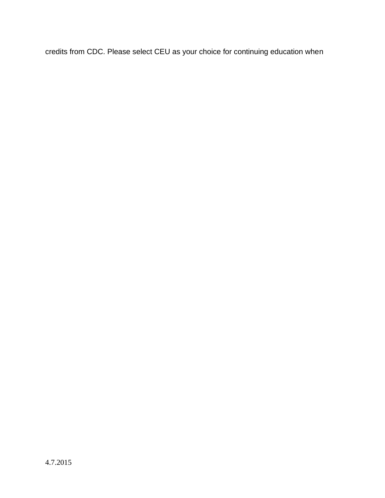credits from CDC. Please select CEU as your choice for continuing education when